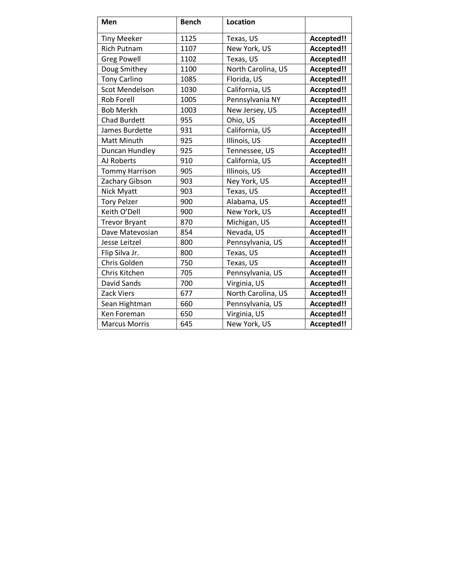| Men                   | <b>Bench</b> | <b>Location</b>    |            |
|-----------------------|--------------|--------------------|------------|
| <b>Tiny Meeker</b>    | 1125         | Texas, US          | Accepted!! |
| <b>Rich Putnam</b>    | 1107         | New York, US       | Accepted!! |
| <b>Greg Powell</b>    | 1102         | Texas, US          | Accepted!! |
| Doug Smithey          | 1100         | North Carolina, US | Accepted!! |
| <b>Tony Carlino</b>   | 1085         | Florida, US        | Accepted!! |
| <b>Scot Mendelson</b> | 1030         | California, US     | Accepted!! |
| <b>Rob Forell</b>     | 1005         | Pennsylvania NY    | Accepted!! |
| <b>Bob Merkh</b>      | 1003         | New Jersey, US     | Accepted!! |
| <b>Chad Burdett</b>   | 955          | Ohio, US           | Accepted!! |
| James Burdette        | 931          | California, US     | Accepted!! |
| <b>Matt Minuth</b>    | 925          | Illinois, US       | Accepted!! |
| Duncan Hundley        | 925          | Tennessee, US      | Accepted!! |
| AJ Roberts            | 910          | California, US     | Accepted!! |
| <b>Tommy Harrison</b> | 905          | Illinois, US       | Accepted!! |
| Zachary Gibson        | 903          | Ney York, US       | Accepted!! |
| Nick Myatt            | 903          | Texas, US          | Accepted!! |
| <b>Tory Pelzer</b>    | 900          | Alabama, US        | Accepted!! |
| Keith O'Dell          | 900          | New York, US       | Accepted!! |
| <b>Trevor Bryant</b>  | 870          | Michigan, US       | Accepted!! |
| Dave Matevosian       | 854          | Nevada, US         | Accepted!! |
| Jesse Leitzel         | 800          | Pennsylvania, US   | Accepted!! |
| Flip Silva Jr.        | 800          | Texas, US          | Accepted!! |
| Chris Golden          | 750          | Texas, US          | Accepted!! |
| Chris Kitchen         | 705          | Pennsylvania, US   | Accepted!! |
| David Sands           | 700          | Virginia, US       | Accepted!! |
| <b>Zack Viers</b>     | 677          | North Carolina, US | Accepted!! |
| Sean Hightman         | 660          | Pennsylvania, US   | Accepted!! |
| Ken Foreman           | 650          | Virginia, US       | Accepted!! |
| <b>Marcus Morris</b>  | 645          | New York, US       | Accepted!! |